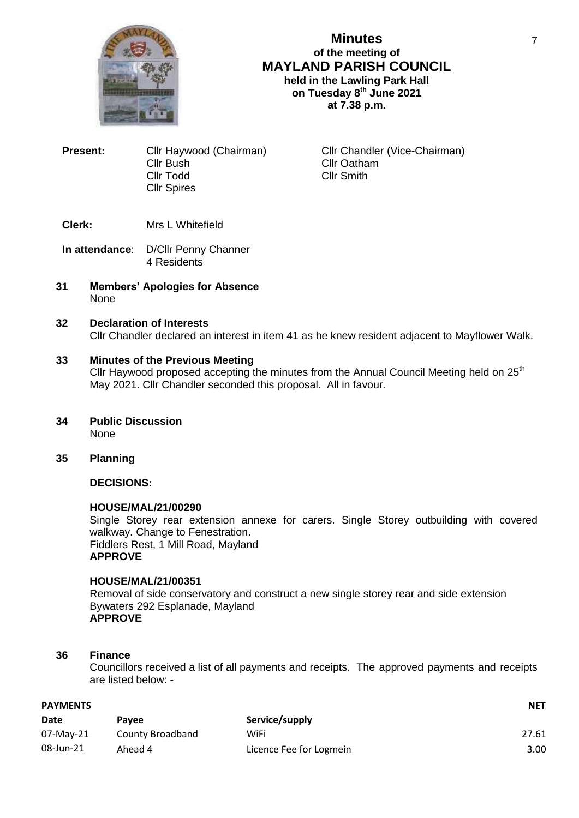

## **Minutes of the meeting of MAYLAND PARISH COUNCIL held in the Lawling Park Hall on Tuesday 8 th June 2021 at 7.38 p.m.**

**Present:** Cllr Haywood (Chairman) Cllr Chandler (Vice-Chairman) Cllr Bush Cllr Oatham Cllr Todd Cllr Smith Cllr Spires

## **Clerk:** Mrs L Whitefield

- **In attendance**: D/Cllr Penny Channer 4 Residents
- **31 Members' Apologies for Absence** None

### **32 Declaration of Interests** Cllr Chandler declared an interest in item 41 as he knew resident adjacent to Mayflower Walk.

### **33 Minutes of the Previous Meeting**

Cllr Haywood proposed accepting the minutes from the Annual Council Meeting held on  $25<sup>th</sup>$ May 2021. Cllr Chandler seconded this proposal. All in favour.

- **34 Public Discussion** None
- **35 Planning**

## **DECISIONS:**

### **HOUSE/MAL/21/00290**

Single Storey rear extension annexe for carers. Single Storey outbuilding with covered walkway. Change to Fenestration. Fiddlers Rest, 1 Mill Road, Mayland **APPROVE**

### **HOUSE/MAL/21/00351**

Removal of side conservatory and construct a new single storey rear and side extension Bywaters 292 Esplanade, Mayland **APPROVE**

### **36 Finance**

Councillors received a list of all payments and receipts. The approved payments and receipts are listed below: -

| <b>PAYMENTS</b> | <b>NET</b>       |                         |       |
|-----------------|------------------|-------------------------|-------|
| Date            | Pavee            | Service/supply          |       |
| 07-Mav-21       | County Broadband | WiFi                    | 27.61 |
| 08-Jun-21       | Ahead 4          | Licence Fee for Logmein | 3.00  |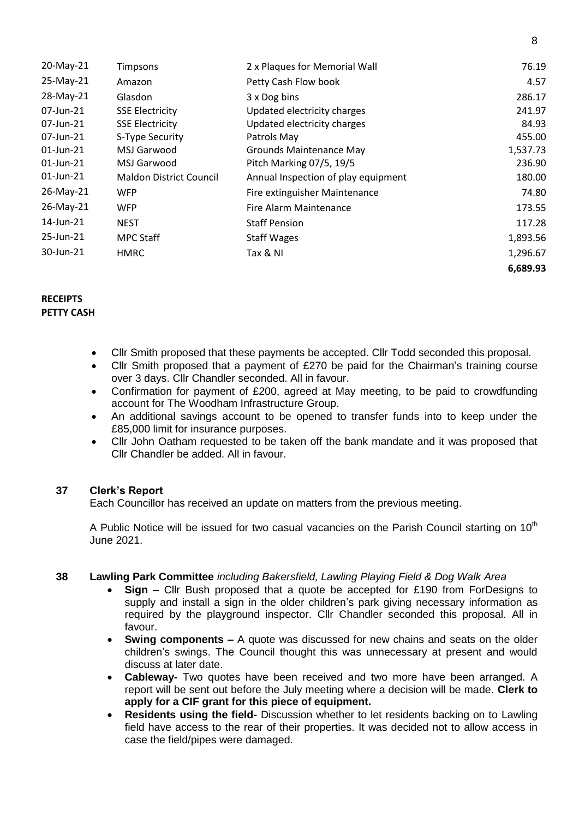| 20-May-21    | Timpsons                       | 2 x Plaques for Memorial Wall       | 76.19    |
|--------------|--------------------------------|-------------------------------------|----------|
| 25-May-21    | Amazon                         | Petty Cash Flow book                | 4.57     |
| 28-May-21    | Glasdon                        | 3 x Dog bins                        | 286.17   |
| 07-Jun-21    | <b>SSE Electricity</b>         | Updated electricity charges         | 241.97   |
| 07-Jun-21    | <b>SSE Electricity</b>         | Updated electricity charges         | 84.93    |
| 07-Jun-21    | S-Type Security                | Patrols May                         | 455.00   |
| $01$ -Jun-21 | MSJ Garwood                    | <b>Grounds Maintenance May</b>      | 1,537.73 |
| $01$ -Jun-21 | MSJ Garwood                    | Pitch Marking 07/5, 19/5            | 236.90   |
| 01-Jun-21    | <b>Maldon District Council</b> | Annual Inspection of play equipment | 180.00   |
| 26-May-21    | <b>WFP</b>                     | Fire extinguisher Maintenance       | 74.80    |
| 26-May-21    | WFP                            | Fire Alarm Maintenance              | 173.55   |
| 14-Jun-21    | <b>NEST</b>                    | <b>Staff Pension</b>                | 117.28   |
| 25-Jun-21    | <b>MPC Staff</b>               | <b>Staff Wages</b>                  | 1,893.56 |
| 30-Jun-21    | <b>HMRC</b>                    | Tax & NI                            | 1,296.67 |
|              |                                |                                     | 6,689.93 |

# **RECEIPTS**

# **PETTY CASH**

- Cllr Smith proposed that these payments be accepted. Cllr Todd seconded this proposal.
- Cllr Smith proposed that a payment of £270 be paid for the Chairman's training course over 3 days. Cllr Chandler seconded. All in favour.
- Confirmation for payment of £200, agreed at May meeting, to be paid to crowdfunding account for The Woodham Infrastructure Group.
- An additional savings account to be opened to transfer funds into to keep under the £85,000 limit for insurance purposes.
- Cllr John Oatham requested to be taken off the bank mandate and it was proposed that Cllr Chandler be added. All in favour.

## **37 Clerk's Report**

Each Councillor has received an update on matters from the previous meeting.

A Public Notice will be issued for two casual vacancies on the Parish Council starting on 10<sup>th</sup> June 2021.

## **38 Lawling Park Committee** *including Bakersfield, Lawling Playing Field & Dog Walk Area*

- **Sign –** Cllr Bush proposed that a quote be accepted for £190 from ForDesigns to supply and install a sign in the older children's park giving necessary information as required by the playground inspector. Cllr Chandler seconded this proposal. All in favour.
- **Swing components –** A quote was discussed for new chains and seats on the older children's swings. The Council thought this was unnecessary at present and would discuss at later date.
- **Cableway-** Two quotes have been received and two more have been arranged. A report will be sent out before the July meeting where a decision will be made. **Clerk to apply for a CIF grant for this piece of equipment.**
- **Residents using the field-** Discussion whether to let residents backing on to Lawling field have access to the rear of their properties. It was decided not to allow access in case the field/pipes were damaged.